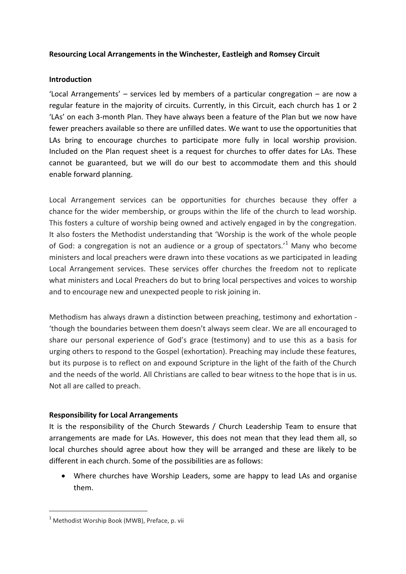## **Resourcing Local Arrangements in the Winchester, Eastleigh and Romsey Circuit**

### **Introduction**

'Local Arrangements' – services led by members of a particular congregation – are now a regular feature in the majority of circuits. Currently, in this Circuit, each church has 1 or 2 'LAs' on each 3-month Plan. They have always been a feature of the Plan but we now have fewer preachers available so there are unfilled dates. We want to use the opportunities that LAs bring to encourage churches to participate more fully in local worship provision. Included on the Plan request sheet is a request for churches to offer dates for LAs. These cannot be guaranteed, but we will do our best to accommodate them and this should enable forward planning.

Local Arrangement services can be opportunities for churches because they offer a chance for the wider membership, or groups within the life of the church to lead worship. This fosters a culture of worship being owned and actively engaged in by the congregation. It also fosters the Methodist understanding that 'Worship is the work of the whole people of God: a congregation is not an audience or a group of spectators.<sup>1</sup> Many who become ministers and local preachers were drawn into these vocations as we participated in leading Local Arrangement services. These services offer churches the freedom not to replicate what ministers and Local Preachers do but to bring local perspectives and voices to worship and to encourage new and unexpected people to risk joining in.

Methodism has always drawn a distinction between preaching, testimony and exhortation - 'though the boundaries between them doesn't always seem clear. We are all encouraged to share our personal experience of God's grace (testimony) and to use this as a basis for urging others to respond to the Gospel (exhortation). Preaching may include these features, but its purpose is to reflect on and expound Scripture in the light of the faith of the Church and the needs of the world. All Christians are called to bear witness to the hope that is in us. Not all are called to preach.

## **Responsibility for Local Arrangements**

It is the responsibility of the Church Stewards / Church Leadership Team to ensure that arrangements are made for LAs. However, this does not mean that they lead them all, so local churches should agree about how they will be arranged and these are likely to be different in each church. Some of the possibilities are as follows:

 Where churches have Worship Leaders, some are happy to lead LAs and organise them.

 $\overline{a}$ 

<sup>&</sup>lt;sup>1</sup> Methodist Worship Book (MWB), Preface, p. vii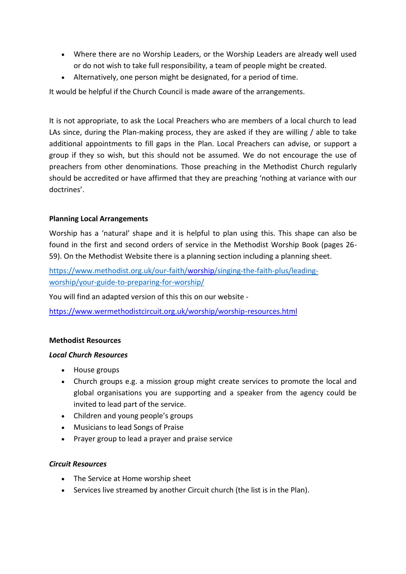- Where there are no Worship Leaders, or the Worship Leaders are already well used or do not wish to take full responsibility, a team of people might be created.
- Alternatively, one person might be designated, for a period of time.

It would be helpful if the Church Council is made aware of the arrangements.

It is not appropriate, to ask the Local Preachers who are members of a local church to lead LAs since, during the Plan-making process, they are asked if they are willing / able to take additional appointments to fill gaps in the Plan. Local Preachers can advise, or support a group if they so wish, but this should not be assumed. We do not encourage the use of preachers from other denominations. Those preaching in the Methodist Church regularly should be accredited or have affirmed that they are preaching 'nothing at variance with our doctrines'.

## **Planning Local Arrangements**

Worship has a 'natural' shape and it is helpful to plan using this. This shape can also be found in the first and second orders of service in the Methodist Worship Book (pages 26- 59). On the Methodist Website there is a planning section including a planning sheet.

[https://www.methodist.org.uk/our-faith/worship/singing-the-faith-plus/leading](https://www.methodist.org.uk/our-faith/worship/singing-the-faith-plus/leading-worship/your-guide-to-preparing-for-worship/)[worship/your-guide-to-preparing-for-worship/](https://www.methodist.org.uk/our-faith/worship/singing-the-faith-plus/leading-worship/your-guide-to-preparing-for-worship/)

You will find an adapted version of this this on our website -

<https://www.wermethodistcircuit.org.uk/worship/worship-resources.html>

## **Methodist Resources**

#### *Local Church Resources*

- House groups
- Church groups e.g. a mission group might create services to promote the local and global organisations you are supporting and a speaker from the agency could be invited to lead part of the service.
- Children and young people's groups
- Musicians to lead Songs of Praise
- Prayer group to lead a prayer and praise service

## *Circuit Resources*

- The Service at Home worship sheet
- Services live streamed by another Circuit church (the list is in the Plan).